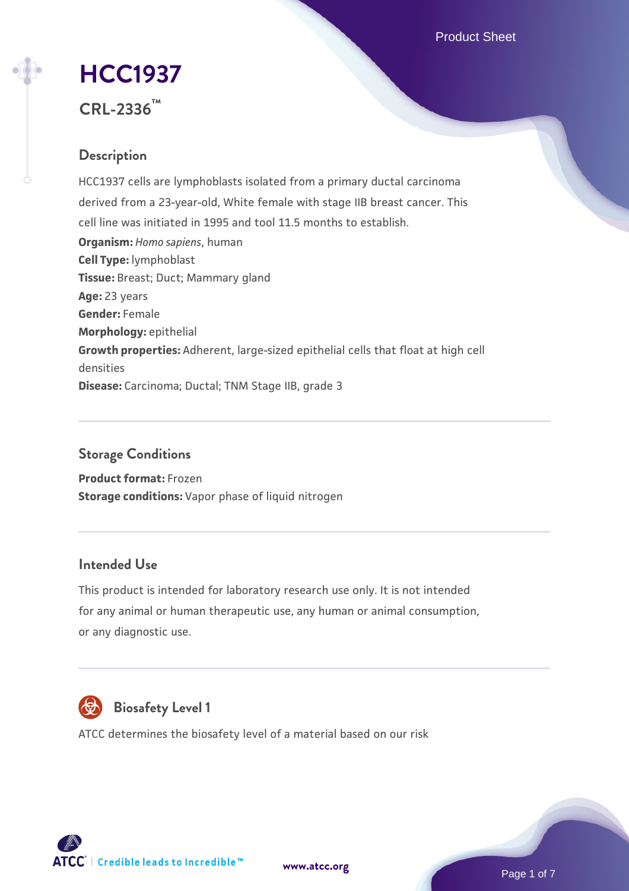Product Sheet

# **[HCC1937](https://www.atcc.org/products/crl-2336)**

**CRL-2336™**

# **Description**

HCC1937 cells are lymphoblasts isolated from a primary ductal carcinoma derived from a 23-year-old, White female with stage IIB breast cancer. This cell line was initiated in 1995 and tool 11.5 months to establish. **Organism:** *Homo sapiens*, human **Cell Type:** lymphoblast **Tissue:** Breast; Duct; Mammary gland **Age:** 23 years **Gender:** Female **Morphology:** epithelial **Growth properties:** Adherent, large-sized epithelial cells that float at high cell densities **Disease:** Carcinoma; Ductal; TNM Stage IIB, grade 3

# **Storage Conditions**

**Product format:** Frozen **Storage conditions:** Vapor phase of liquid nitrogen

# **Intended Use**

This product is intended for laboratory research use only. It is not intended for any animal or human therapeutic use, any human or animal consumption, or any diagnostic use.



# **Biosafety Level 1**

ATCC determines the biosafety level of a material based on our risk

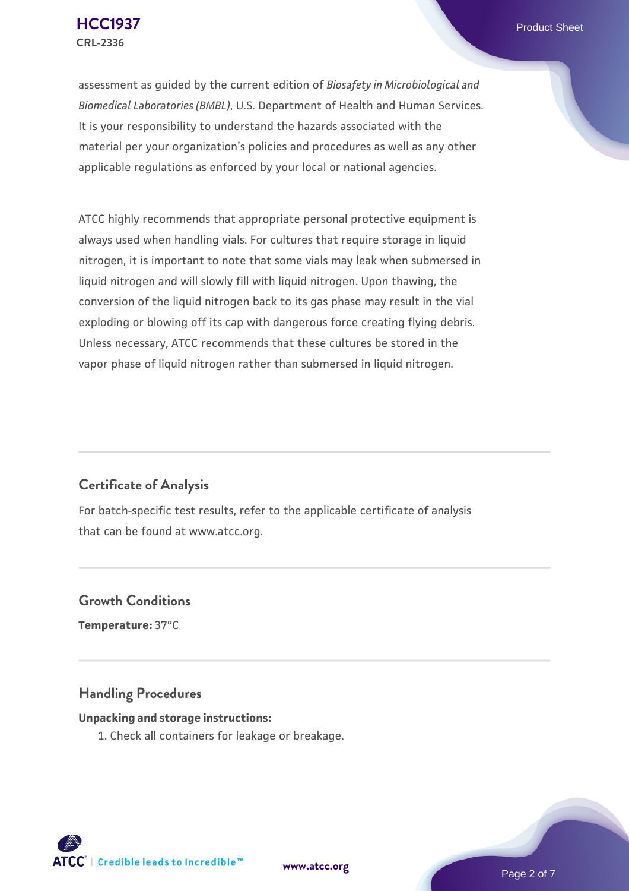assessment as guided by the current edition of *Biosafety in Microbiological and Biomedical Laboratories (BMBL)*, U.S. Department of Health and Human Services. It is your responsibility to understand the hazards associated with the material per your organization's policies and procedures as well as any other applicable regulations as enforced by your local or national agencies.

ATCC highly recommends that appropriate personal protective equipment is always used when handling vials. For cultures that require storage in liquid nitrogen, it is important to note that some vials may leak when submersed in liquid nitrogen and will slowly fill with liquid nitrogen. Upon thawing, the conversion of the liquid nitrogen back to its gas phase may result in the vial exploding or blowing off its cap with dangerous force creating flying debris. Unless necessary, ATCC recommends that these cultures be stored in the vapor phase of liquid nitrogen rather than submersed in liquid nitrogen.

# **Certificate of Analysis**

For batch-specific test results, refer to the applicable certificate of analysis that can be found at www.atcc.org.

# **Growth Conditions**

**Temperature:** 37°C

# **Handling Procedures**

### **Unpacking and storage instructions:**

1. Check all containers for leakage or breakage.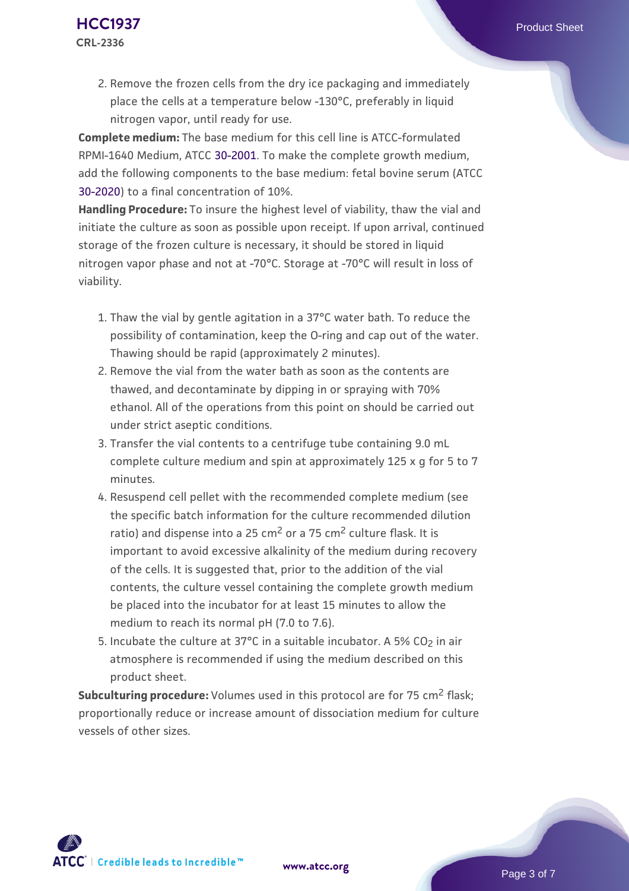**Complete medium:** The base medium for this cell line is ATCC-formulated RPMI-1640 Medium, ATCC [30-2001.](https://www.atcc.org/Products/All/30-2001.aspx) To make the complete growth medium, add the following components to the base medium: fetal bovine serum (ATCC [30-2020\)](https://www.atcc.org/Products/All/30-2020.aspx) to a final concentration of 10%.

**Handling Procedure:** To insure the highest level of viability, thaw the vial and initiate the culture as soon as possible upon receipt. If upon arrival, continued storage of the frozen culture is necessary, it should be stored in liquid nitrogen vapor phase and not at -70°C. Storage at -70°C will result in loss of viability.

- 1. Thaw the vial by gentle agitation in a 37°C water bath. To reduce the  $\,$ possibility of contamination, keep the O-ring and cap out of the water. Thawing should be rapid (approximately 2 minutes).
- 2. Remove the vial from the water bath as soon as the contents are thawed, and decontaminate by dipping in or spraying with 70% ethanol. All of the operations from this point on should be carried out under strict aseptic conditions.
- 3. Transfer the vial contents to a centrifuge tube containing 9.0 mL complete culture medium and spin at approximately 125 x g for 5 to 7 minutes.
- 4. Resuspend cell pellet with the recommended complete medium (see the specific batch information for the culture recommended dilution ratio) and dispense into a 25  $\text{cm}^2$  or a 75  $\text{cm}^2$  culture flask. It is important to avoid excessive alkalinity of the medium during recovery of the cells. It is suggested that, prior to the addition of the vial contents, the culture vessel containing the complete growth medium be placed into the incubator for at least 15 minutes to allow the medium to reach its normal pH (7.0 to 7.6).
- 5. Incubate the culture at 37°C in a suitable incubator. A 5% CO<sub>2</sub> in air atmosphere is recommended if using the medium described on this product sheet.

**Subculturing procedure:** Volumes used in this protocol are for 75 cm<sup>2</sup> flask; proportionally reduce or increase amount of dissociation medium for culture vessels of other sizes.

Page 3 of 7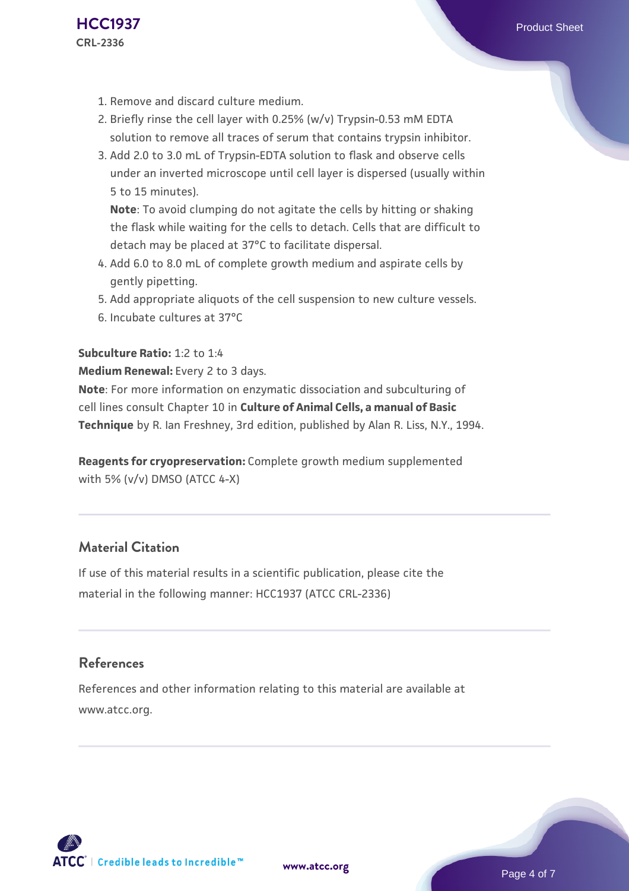- 1. Remove and discard culture medium.
- 2. Briefly rinse the cell layer with 0.25% (w/v) Trypsin-0.53 mM EDTA solution to remove all traces of serum that contains trypsin inhibitor.
- 3. Add 2.0 to 3.0 mL of Trypsin-EDTA solution to flask and observe cells under an inverted microscope until cell layer is dispersed (usually within 5 to 15 minutes).

**Note**: To avoid clumping do not agitate the cells by hitting or shaking the flask while waiting for the cells to detach. Cells that are difficult to detach may be placed at 37°C to facilitate dispersal.

- Add 6.0 to 8.0 mL of complete growth medium and aspirate cells by 4. gently pipetting.
- 5. Add appropriate aliquots of the cell suspension to new culture vessels.
- 6. Incubate cultures at 37°C

#### **Subculture Ratio:** 1:2 to 1:4

#### **Medium Renewal:** Every 2 to 3 days.

**Note**: For more information on enzymatic dissociation and subculturing of cell lines consult Chapter 10 in **Culture of Animal Cells, a manual of Basic Technique** by R. Ian Freshney, 3rd edition, published by Alan R. Liss, N.Y., 1994.

**Reagents for cryopreservation:** Complete growth medium supplemented with 5% (v/v) DMSO (ATCC 4-X)

# **Material Citation**

If use of this material results in a scientific publication, please cite the material in the following manner: HCC1937 (ATCC CRL-2336)

# **References**

References and other information relating to this material are available at www.atcc.org.

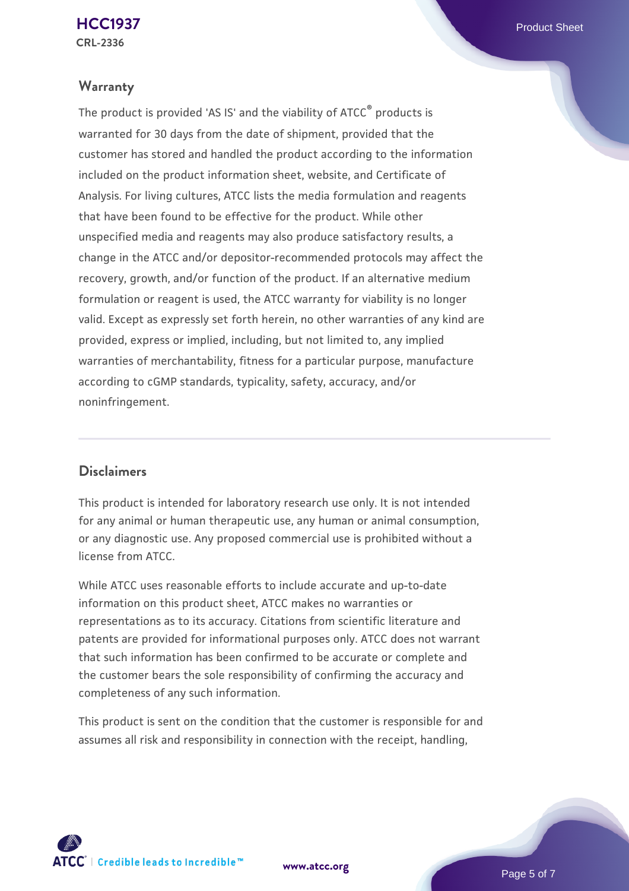# **Warranty**

The product is provided 'AS IS' and the viability of ATCC® products is warranted for 30 days from the date of shipment, provided that the customer has stored and handled the product according to the information included on the product information sheet, website, and Certificate of Analysis. For living cultures, ATCC lists the media formulation and reagents that have been found to be effective for the product. While other unspecified media and reagents may also produce satisfactory results, a change in the ATCC and/or depositor-recommended protocols may affect the recovery, growth, and/or function of the product. If an alternative medium formulation or reagent is used, the ATCC warranty for viability is no longer valid. Except as expressly set forth herein, no other warranties of any kind are provided, express or implied, including, but not limited to, any implied warranties of merchantability, fitness for a particular purpose, manufacture according to cGMP standards, typicality, safety, accuracy, and/or noninfringement.

# **Disclaimers**

This product is intended for laboratory research use only. It is not intended for any animal or human therapeutic use, any human or animal consumption, or any diagnostic use. Any proposed commercial use is prohibited without a license from ATCC.

While ATCC uses reasonable efforts to include accurate and up-to-date information on this product sheet, ATCC makes no warranties or representations as to its accuracy. Citations from scientific literature and patents are provided for informational purposes only. ATCC does not warrant that such information has been confirmed to be accurate or complete and the customer bears the sole responsibility of confirming the accuracy and completeness of any such information.

This product is sent on the condition that the customer is responsible for and assumes all risk and responsibility in connection with the receipt, handling,



**[www.atcc.org](http://www.atcc.org)**

Page 5 of 7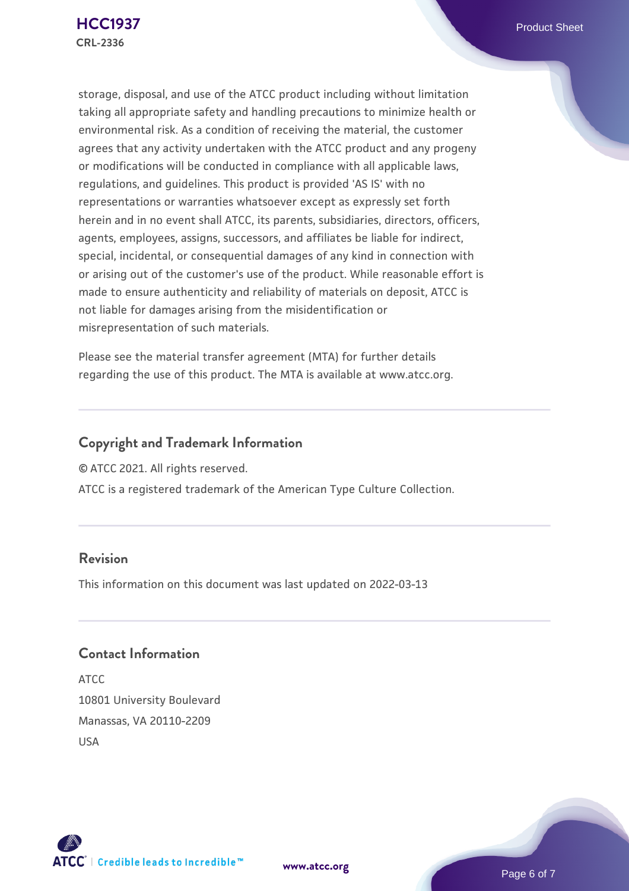storage, disposal, and use of the ATCC product including without limitation taking all appropriate safety and handling precautions to minimize health or environmental risk. As a condition of receiving the material, the customer agrees that any activity undertaken with the ATCC product and any progeny or modifications will be conducted in compliance with all applicable laws, regulations, and guidelines. This product is provided 'AS IS' with no representations or warranties whatsoever except as expressly set forth herein and in no event shall ATCC, its parents, subsidiaries, directors, officers, agents, employees, assigns, successors, and affiliates be liable for indirect, special, incidental, or consequential damages of any kind in connection with or arising out of the customer's use of the product. While reasonable effort is made to ensure authenticity and reliability of materials on deposit, ATCC is not liable for damages arising from the misidentification or misrepresentation of such materials.

Please see the material transfer agreement (MTA) for further details regarding the use of this product. The MTA is available at www.atcc.org.

# **Copyright and Trademark Information**

© ATCC 2021. All rights reserved.

ATCC is a registered trademark of the American Type Culture Collection.

# **Revision**

This information on this document was last updated on 2022-03-13

# **Contact Information**

ATCC 10801 University Boulevard Manassas, VA 20110-2209 USA